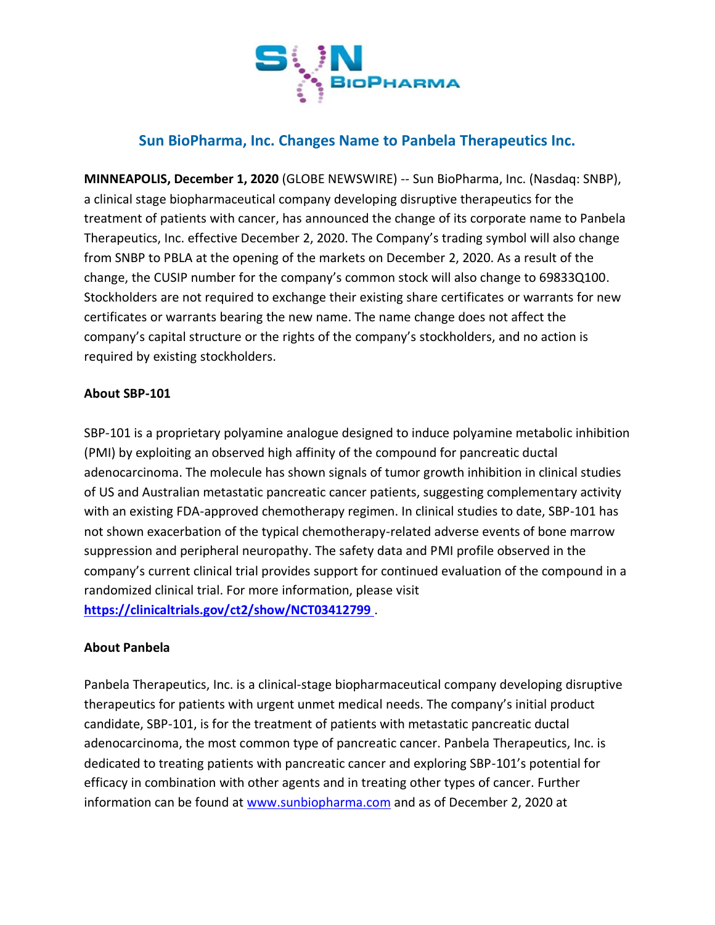

# **Sun BioPharma, Inc. Changes Name to Panbela Therapeutics Inc.**

**MINNEAPOLIS, December 1, 2020** (GLOBE NEWSWIRE) -- Sun BioPharma, Inc. (Nasdaq: SNBP), a clinical stage biopharmaceutical company developing disruptive therapeutics for the treatment of patients with cancer, has announced the change of its corporate name to Panbela Therapeutics, Inc. effective December 2, 2020. The Company's trading symbol will also change from SNBP to PBLA at the opening of the markets on December 2, 2020. As a result of the change, the CUSIP number for the company's common stock will also change to 69833Q100. Stockholders are not required to exchange their existing share certificates or warrants for new certificates or warrants bearing the new name. The name change does not affect the company's capital structure or the rights of the company's stockholders, and no action is required by existing stockholders.

### **About SBP-101**

SBP-101 is a proprietary polyamine analogue designed to induce polyamine metabolic inhibition (PMI) by exploiting an observed high affinity of the compound for pancreatic ductal adenocarcinoma. The molecule has shown signals of tumor growth inhibition in clinical studies of US and Australian metastatic pancreatic cancer patients, suggesting complementary activity with an existing FDA-approved chemotherapy regimen. In clinical studies to date, SBP-101 has not shown exacerbation of the typical chemotherapy-related adverse events of bone marrow suppression and peripheral neuropathy. The safety data and PMI profile observed in the company's current clinical trial provides support for continued evaluation of the compound in a randomized clinical trial. For more information, please visit **<https://clinicaltrials.gov/ct2/show/NCT03412799>** .

### **About Panbela**

Panbela Therapeutics, Inc. is a clinical-stage biopharmaceutical company developing disruptive therapeutics for patients with urgent unmet medical needs. The company's initial product candidate, SBP-101, is for the treatment of patients with metastatic pancreatic ductal adenocarcinoma, the most common type of pancreatic cancer. Panbela Therapeutics, Inc. is dedicated to treating patients with pancreatic cancer and exploring SBP-101's potential for efficacy in combination with other agents and in treating other types of cancer. Further information can be found at [www.sunbiopharma.com](http://www.sunbiopharma.com/) and as of December 2, 2020 at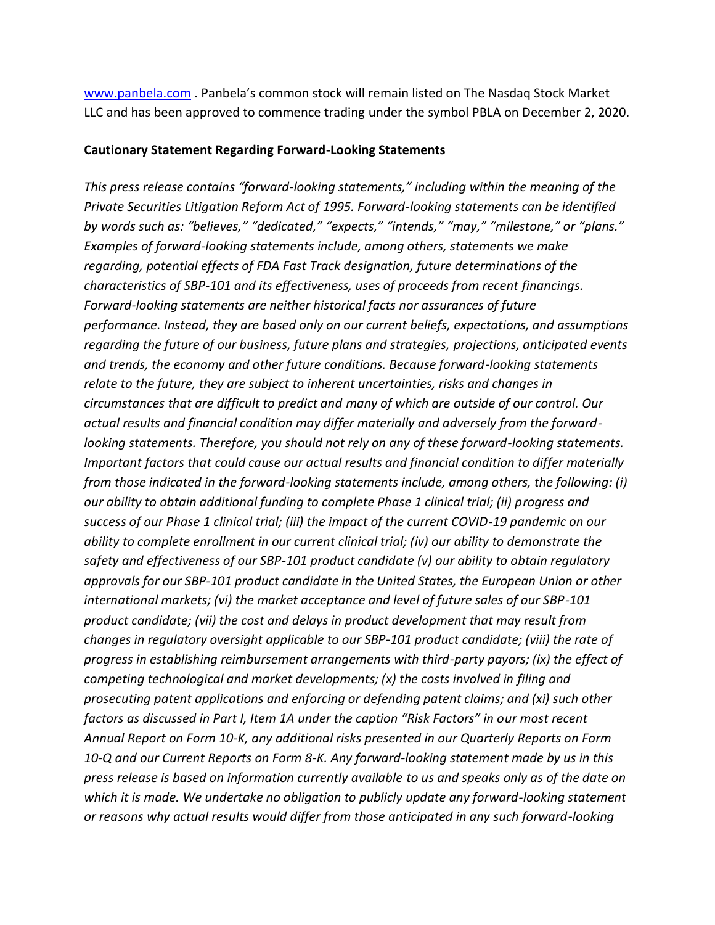[www.panbela.com](http://www.panbela.com/) . Panbela's common stock will remain listed on The Nasdaq Stock Market LLC and has been approved to commence trading under the symbol PBLA on December 2, 2020.

#### **Cautionary Statement Regarding Forward-Looking Statements**

*This press release contains "forward-looking statements," including within the meaning of the Private Securities Litigation Reform Act of 1995. Forward-looking statements can be identified by words such as: "believes," "dedicated," "expects," "intends," "may," "milestone," or "plans." Examples of forward-looking statements include, among others, statements we make regarding, potential effects of FDA Fast Track designation, future determinations of the characteristics of SBP-101 and its effectiveness, uses of proceeds from recent financings. Forward-looking statements are neither historical facts nor assurances of future performance. Instead, they are based only on our current beliefs, expectations, and assumptions regarding the future of our business, future plans and strategies, projections, anticipated events and trends, the economy and other future conditions. Because forward-looking statements relate to the future, they are subject to inherent uncertainties, risks and changes in circumstances that are difficult to predict and many of which are outside of our control. Our actual results and financial condition may differ materially and adversely from the forwardlooking statements. Therefore, you should not rely on any of these forward-looking statements. Important factors that could cause our actual results and financial condition to differ materially from those indicated in the forward-looking statements include, among others, the following: (i) our ability to obtain additional funding to complete Phase 1 clinical trial; (ii) progress and success of our Phase 1 clinical trial; (iii) the impact of the current COVID-19 pandemic on our ability to complete enrollment in our current clinical trial; (iv) our ability to demonstrate the safety and effectiveness of our SBP-101 product candidate (v) our ability to obtain regulatory approvals for our SBP-101 product candidate in the United States, the European Union or other international markets; (vi) the market acceptance and level of future sales of our SBP-101 product candidate; (vii) the cost and delays in product development that may result from changes in regulatory oversight applicable to our SBP-101 product candidate; (viii) the rate of progress in establishing reimbursement arrangements with third-party payors; (ix) the effect of competing technological and market developments; (x) the costs involved in filing and prosecuting patent applications and enforcing or defending patent claims; and (xi) such other factors as discussed in Part I, Item 1A under the caption "Risk Factors" in our most recent Annual Report on Form 10-K, any additional risks presented in our Quarterly Reports on Form 10-Q and our Current Reports on Form 8-K. Any forward-looking statement made by us in this press release is based on information currently available to us and speaks only as of the date on which it is made. We undertake no obligation to publicly update any forward-looking statement or reasons why actual results would differ from those anticipated in any such forward-looking*